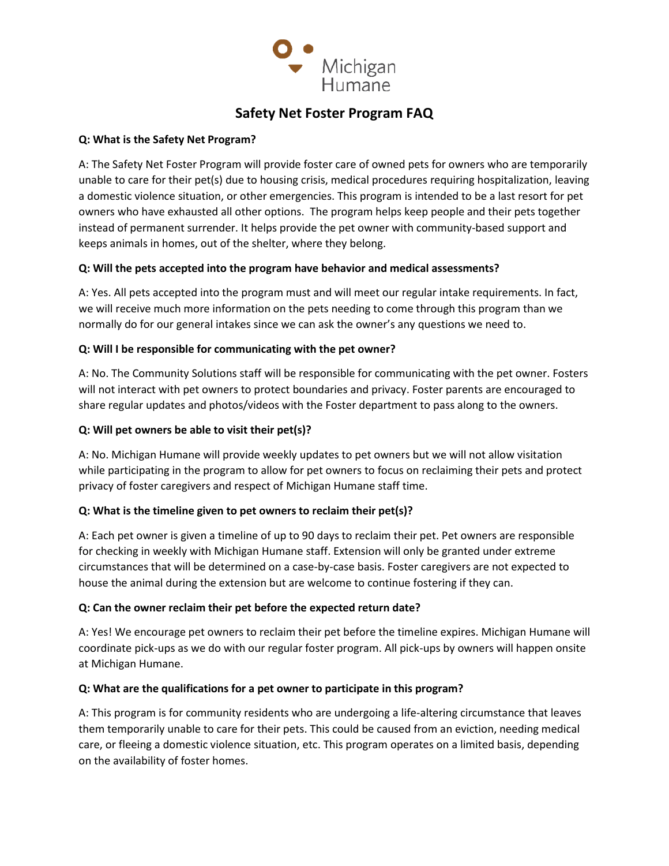

# **Safety Net Foster Program FAQ**

#### **Q: What is the Safety Net Program?**

A: The Safety Net Foster Program will provide foster care of owned pets for owners who are temporarily unable to care for their pet(s) due to housing crisis, medical procedures requiring hospitalization, leaving a domestic violence situation, or other emergencies. This program is intended to be a last resort for pet owners who have exhausted all other options. The program helps keep people and their pets together instead of permanent surrender. It helps provide the pet owner with community-based support and keeps animals in homes, out of the shelter, where they belong.

# **Q: Will the pets accepted into the program have behavior and medical assessments?**

A: Yes. All pets accepted into the program must and will meet our regular intake requirements. In fact, we will receive much more information on the pets needing to come through this program than we normally do for our general intakes since we can ask the owner's any questions we need to.

## **Q: Will I be responsible for communicating with the pet owner?**

A: No. The Community Solutions staff will be responsible for communicating with the pet owner. Fosters will not interact with pet owners to protect boundaries and privacy. Foster parents are encouraged to share regular updates and photos/videos with the Foster department to pass along to the owners.

## **Q: Will pet owners be able to visit their pet(s)?**

A: No. Michigan Humane will provide weekly updates to pet owners but we will not allow visitation while participating in the program to allow for pet owners to focus on reclaiming their pets and protect privacy of foster caregivers and respect of Michigan Humane staff time.

#### **Q: What is the timeline given to pet owners to reclaim their pet(s)?**

A: Each pet owner is given a timeline of up to 90 days to reclaim their pet. Pet owners are responsible for checking in weekly with Michigan Humane staff. Extension will only be granted under extreme circumstances that will be determined on a case-by-case basis. Foster caregivers are not expected to house the animal during the extension but are welcome to continue fostering if they can.

#### **Q: Can the owner reclaim their pet before the expected return date?**

A: Yes! We encourage pet owners to reclaim their pet before the timeline expires. Michigan Humane will coordinate pick-ups as we do with our regular foster program. All pick-ups by owners will happen onsite at Michigan Humane.

#### **Q: What are the qualifications for a pet owner to participate in this program?**

A: This program is for community residents who are undergoing a life-altering circumstance that leaves them temporarily unable to care for their pets. This could be caused from an eviction, needing medical care, or fleeing a domestic violence situation, etc. This program operates on a limited basis, depending on the availability of foster homes.